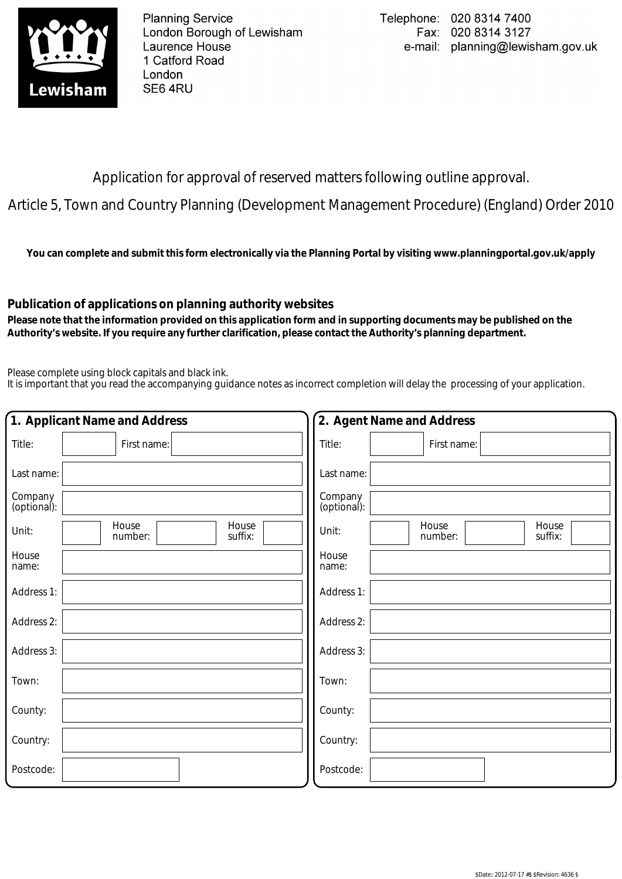

**Planning Service** London Borough of Lewisham Laurence House 1 Catford Road London SE6 4RU

Application for approval of reserved matters following outline approval.

Article 5, Town and Country Planning (Development Management Procedure) (England) Order 2010

**You can complete and submit this form electronically via the Planning Portal by visiting www.planningportal.gov.uk/apply**

## **Publication of applications on planning authority websites**

 **Please note that the information provided on this application form and in supporting documents may be published on the Authority's website. If you require any further clarification, please contact the Authority's planning department.**

Please complete using block capitals and black ink.

It is important that you read the accompanying guidance notes as incorrect completion will delay the processing of your application.

| 1. Applicant Name and Address                 | 2. Agent Name and Address                     |
|-----------------------------------------------|-----------------------------------------------|
| Title:<br>First name:                         | Title:<br>First name:                         |
| Last name:                                    | Last name:                                    |
| Company<br>(optional):                        | Company<br>(optional):                        |
| House<br>House<br>Unit:<br>suffix:<br>number: | House<br>House<br>Unit:<br>number:<br>suffix: |
| House<br>name:                                | House<br>name:                                |
| Address 1:                                    | Address 1:                                    |
| Address 2:                                    | Address 2:                                    |
| Address 3:                                    | Address 3:                                    |
| Town:                                         | Town:                                         |
| County:                                       | County:                                       |
| Country:                                      | Country:                                      |
| Postcode:                                     | Postcode:                                     |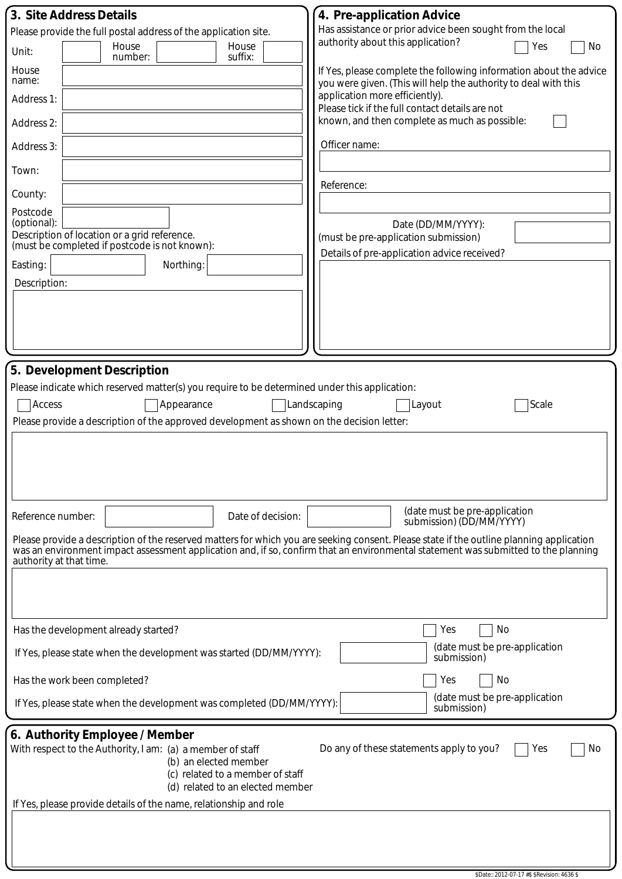| 3. Site Address Details                                                                                                                                                                                                                                                                                   | 4. Pre-application Advice                                                                                                             |
|-----------------------------------------------------------------------------------------------------------------------------------------------------------------------------------------------------------------------------------------------------------------------------------------------------------|---------------------------------------------------------------------------------------------------------------------------------------|
| Please provide the full postal address of the application site.                                                                                                                                                                                                                                           | Has assistance or prior advice been sought from the local                                                                             |
| House<br>House<br>Unit:<br>suffix:<br>number:                                                                                                                                                                                                                                                             | authority about this application?<br>Yes<br>No                                                                                        |
| House<br>name:                                                                                                                                                                                                                                                                                            | If Yes, please complete the following information about the advice<br>you were given. (This will help the authority to deal with this |
| Address 1:                                                                                                                                                                                                                                                                                                | application more efficiently).<br>Please tick if the full contact details are not                                                     |
| Address 2:                                                                                                                                                                                                                                                                                                | known, and then complete as much as possible:                                                                                         |
| Address 3:                                                                                                                                                                                                                                                                                                | Officer name:                                                                                                                         |
| Town:                                                                                                                                                                                                                                                                                                     |                                                                                                                                       |
| County:                                                                                                                                                                                                                                                                                                   | Reference:                                                                                                                            |
| Postcode<br>(optional):                                                                                                                                                                                                                                                                                   | Date (DD/MM/YYYY):                                                                                                                    |
| Description of location or a grid reference.<br>(must be completed if postcode is not known):                                                                                                                                                                                                             | (must be pre-application submission)                                                                                                  |
| Easting:<br>Northing:                                                                                                                                                                                                                                                                                     | Details of pre-application advice received?                                                                                           |
| Description:                                                                                                                                                                                                                                                                                              |                                                                                                                                       |
|                                                                                                                                                                                                                                                                                                           |                                                                                                                                       |
|                                                                                                                                                                                                                                                                                                           |                                                                                                                                       |
|                                                                                                                                                                                                                                                                                                           |                                                                                                                                       |
| 5. Development Description                                                                                                                                                                                                                                                                                |                                                                                                                                       |
| Please indicate which reserved matter(s) you require to be determined under this application:                                                                                                                                                                                                             |                                                                                                                                       |
| Access<br>Appearance                                                                                                                                                                                                                                                                                      | Landscaping<br>Scale<br>Layout                                                                                                        |
| Please provide a description of the approved development as shown on the decision letter:                                                                                                                                                                                                                 |                                                                                                                                       |
|                                                                                                                                                                                                                                                                                                           |                                                                                                                                       |
|                                                                                                                                                                                                                                                                                                           |                                                                                                                                       |
|                                                                                                                                                                                                                                                                                                           |                                                                                                                                       |
|                                                                                                                                                                                                                                                                                                           |                                                                                                                                       |
| Reference number:<br>Date of decision:                                                                                                                                                                                                                                                                    | (date must be pre-application<br>submission) (DD/MM/YYYY)                                                                             |
| Please provide a description of the reserved matters for which you are seeking consent. Please state if the outline planning application<br>was an environment impact assessment application and, if so, confirm that an environmental statement was submitted to the planning<br>authority at that time. |                                                                                                                                       |
|                                                                                                                                                                                                                                                                                                           |                                                                                                                                       |
|                                                                                                                                                                                                                                                                                                           |                                                                                                                                       |
| Has the development already started?                                                                                                                                                                                                                                                                      | Yes<br>No                                                                                                                             |
| If Yes, please state when the development was started (DD/MM/YYYY):                                                                                                                                                                                                                                       | (date must be pre-application                                                                                                         |
|                                                                                                                                                                                                                                                                                                           | submission)                                                                                                                           |
| Has the work been completed?                                                                                                                                                                                                                                                                              | Yes<br>No<br>(date must be pre-application                                                                                            |
| If Yes, please state when the development was completed (DD/MM/YYYY):                                                                                                                                                                                                                                     | submission)                                                                                                                           |
| 6. Authority Employee / Member                                                                                                                                                                                                                                                                            |                                                                                                                                       |
| With respect to the Authority, I am: (a) a member of staff                                                                                                                                                                                                                                                | Do any of these statements apply to you?<br>No<br>Yes                                                                                 |
| (b) an elected member<br>(c) related to a member of staff                                                                                                                                                                                                                                                 |                                                                                                                                       |
| (d) related to an elected member                                                                                                                                                                                                                                                                          |                                                                                                                                       |
| If Yes, please provide details of the name, relationship and role                                                                                                                                                                                                                                         |                                                                                                                                       |
|                                                                                                                                                                                                                                                                                                           |                                                                                                                                       |
|                                                                                                                                                                                                                                                                                                           |                                                                                                                                       |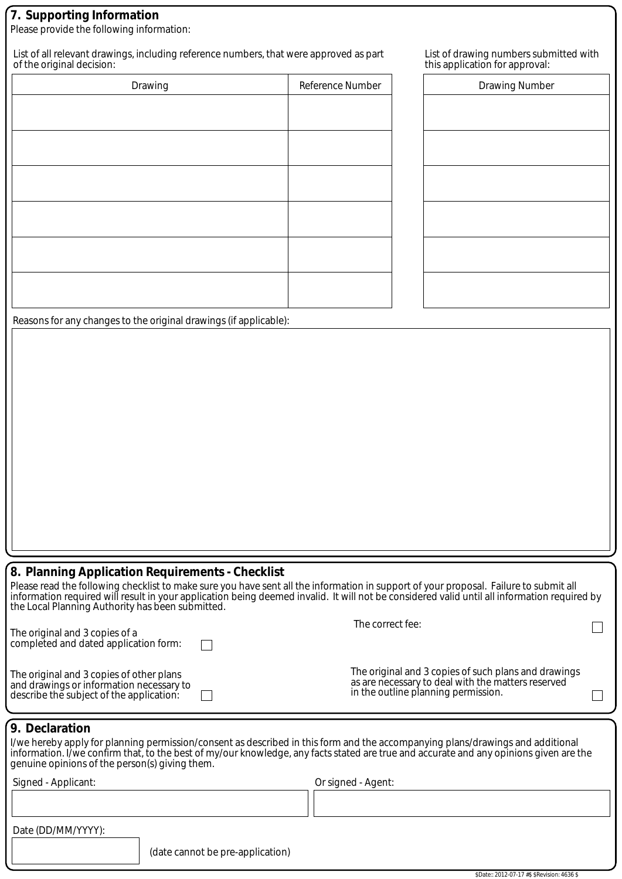## **7. Supporting Information**

Please provide the following information:

List of all relevant drawings, including reference numbers, that were approved as part of the original decision:

| Drawing | Reference Number |
|---------|------------------|
|         |                  |
|         |                  |
|         |                  |
|         |                  |
|         |                  |
|         |                  |

| List of drawing numbers submitted with |
|----------------------------------------|
| this application for approval:         |

| Drawing Number |  |  |  |
|----------------|--|--|--|
|                |  |  |  |
|                |  |  |  |
|                |  |  |  |
|                |  |  |  |
|                |  |  |  |
|                |  |  |  |
|                |  |  |  |
|                |  |  |  |

Reasons for any changes to the original drawings (if applicable):

## **8. Planning Application Requirements - Checklist**

Please read the following checklist to make sure you have sent all the information in support of your proposal. Failure to submit all information required will result in your application being deemed invalid. It will not be considered valid until all information required by the Local Planning Authority has been submitted.

| The original and 3 copies of a<br>completed and dated application form:                                                          | The correct fee:                                                                                                                                  |  |
|----------------------------------------------------------------------------------------------------------------------------------|---------------------------------------------------------------------------------------------------------------------------------------------------|--|
| The original and 3 copies of other plans<br>and drawings or information necessary to<br>describe the subject of the application: | The original and 3 copies of such plans and drawings<br>as are necessary to deal with the matters reserved<br>in the outline planning permission. |  |

## **9. Declaration**

I/we hereby apply for planning permission/consent as described in this form and the accompanying plans/drawings and additional information. I/we confirm that, to the best of my/our knowledge, any facts stated are true and accurate and any opinions given are the genuine opinions of the person(s) giving them.

| Signed - Applicant:           | Or signed - Agent: |
|-------------------------------|--------------------|
|                               |                    |
| $D_{\alpha}$ $(DD/MMN/N/N)$ . |                    |

| Date (DD/MM/YYYY): |
|--------------------|
|                    |

(date cannot be pre-application)